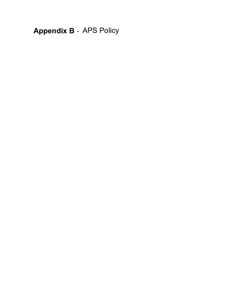**Appendix B** - APS Policy